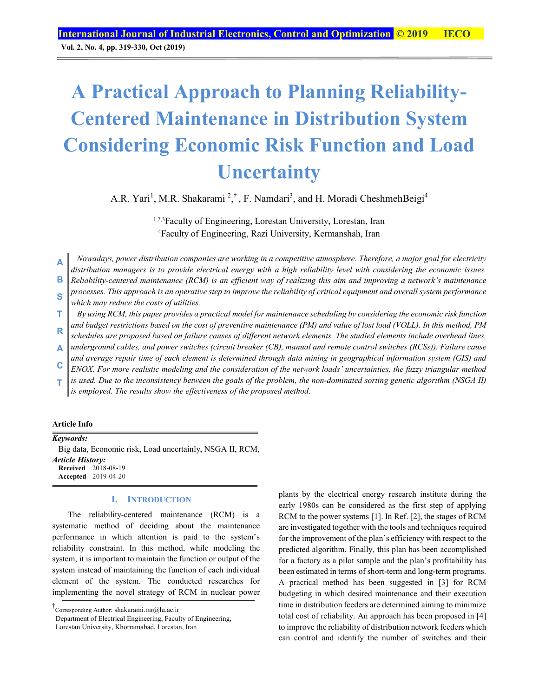**Vol. 2, No. 4, pp. 319-330, Oct (2019)**

# **A Practical Approach to Planning Reliability-Centered Maintenance in Distribution System Considering Economic Risk Function and Load Uncertainty**

A.R. Yari<sup>1</sup>, M.R. Shakarami<sup>2</sup>,<sup>†</sup>, F. Namdari<sup>3</sup>, and H. Moradi CheshmehBeigi<sup>4</sup>

1,2,3Faculty of Engineering, Lorestan University, Lorestan, Iran 4 Faculty of Engineering, Razi University, Kermanshah, Iran

*Nowadays, power distribution companies are working in a competitive atmosphere. Therefore, a major goal for electricity distribution managers is to provide electrical energy with a high reliability level with considering the economic issues. Reliability-centered maintenance (RCM) is an efficient way of realizing this aim and improving a network's maintenance processes. This approach is an operative step to improve the reliability of critical equipment and overall system performance*  **A B S** 

- *which may reduce the costs of utilities.*
- *By using RCM, this paper provides a practical model for maintenance scheduling by considering the economic risk function and budget restrictions based on the cost of preventive maintenance (PM) and value of lost load (VOLL). In this method, PM*  **T**
- *schedules are proposed based on failure causes of different network elements. The studied elements include overhead lines,*  **R**
- *underground cables, and power switches (circuit breaker (CB), manual and remote control switches (RCSs)). Failure cause and average repair time of each element is determined through data mining in geographical information system (GIS) and*  **A**
- *ENOX. For more realistic modeling and the consideration of the network loads' uncertainties, the fuzzy triangular method*  **C**
- *is used. Due to the inconsistency between the goals of the problem, the non-dominated sorting genetic algorithm (NSGA II) is employed. The results show the effectiveness of the proposed method.*  **T**

# **Article Info**

*Keywords:*  Big data, Economic risk, Load uncertainly, NSGA II, RCM, *Article History:*  **Received** 2018-08-19 **Accepted** 2019-04-20

# **I. INTRODUCTION**

The reliability-centered maintenance (RCM) is a systematic method of deciding about the maintenance performance in which attention is paid to the system's reliability constraint. In this method, while modeling the system, it is important to maintain the function or output of the system instead of maintaining the function of each individual element of the system. The conducted researches for implementing the novel strategy of RCM in nuclear power

Department of Electrical Engineering, Faculty of Engineering,

plants by the electrical energy research institute during the early 1980s can be considered as the first step of applying RCM to the power systems [1]. In Ref. [2], the stages of RCM are investigated together with the tools and techniques required for the improvement of the plan's efficiency with respect to the predicted algorithm. Finally, this plan has been accomplished for a factory as a pilot sample and the plan's profitability has been estimated in terms of short-term and long-term programs. A practical method has been suggested in [3] for RCM budgeting in which desired maintenance and their execution time in distribution feeders are determined aiming to minimize total cost of reliability. An approach has been proposed in [4] to improve the reliability of distribution network feeders which can control and identify the number of switches and their

<sup>†</sup> Corresponding Author: shakarami.mr@lu.ac.ir

Lorestan University, Khorramabad, Lorestan, Iran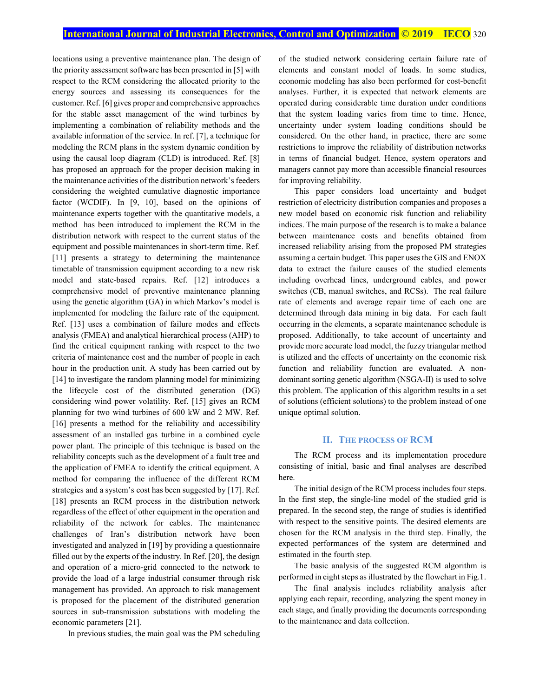locations using a preventive maintenance plan. The design of the priority assessment software has been presented in [5] with respect to the RCM considering the allocated priority to the energy sources and assessing its consequences for the customer. Ref. [6] gives proper and comprehensive approaches for the stable asset management of the wind turbines by implementing a combination of reliability methods and the available information of the service. In ref. [7], a technique for modeling the RCM plans in the system dynamic condition by using the causal loop diagram (CLD) is introduced. Ref. [8] has proposed an approach for the proper decision making in the maintenance activities of the distribution network's feeders considering the weighted cumulative diagnostic importance factor (WCDIF). In [9, 10], based on the opinions of maintenance experts together with the quantitative models, a method has been introduced to implement the RCM in the distribution network with respect to the current status of the equipment and possible maintenances in short-term time. Ref. [11] presents a strategy to determining the maintenance timetable of transmission equipment according to a new risk model and state-based repairs. Ref. [12] introduces a comprehensive model of preventive maintenance planning using the genetic algorithm (GA) in which Markov's model is implemented for modeling the failure rate of the equipment. Ref. [13] uses a combination of failure modes and effects analysis (FMEA) and analytical hierarchical process (AHP) to find the critical equipment ranking with respect to the two criteria of maintenance cost and the number of people in each hour in the production unit. A study has been carried out by [14] to investigate the random planning model for minimizing the lifecycle cost of the distributed generation (DG) considering wind power volatility. Ref. [15] gives an RCM planning for two wind turbines of 600 kW and 2 MW. Ref. [16] presents a method for the reliability and accessibility assessment of an installed gas turbine in a combined cycle power plant. The principle of this technique is based on the reliability concepts such as the development of a fault tree and the application of FMEA to identify the critical equipment. A method for comparing the influence of the different RCM strategies and a system's cost has been suggested by [17]. Ref. [18] presents an RCM process in the distribution network regardless of the effect of other equipment in the operation and reliability of the network for cables. The maintenance challenges of Iran's distribution network have been investigated and analyzed in [19] by providing a questionnaire filled out by the experts of the industry. In Ref. [20], the design and operation of a micro-grid connected to the network to provide the load of a large industrial consumer through risk management has provided. An approach to risk management is proposed for the placement of the distributed generation sources in sub-transmission substations with modeling the economic parameters [21].

In previous studies, the main goal was the PM scheduling

of the studied network considering certain failure rate of elements and constant model of loads. In some studies, economic modeling has also been performed for cost-benefit analyses. Further, it is expected that network elements are operated during considerable time duration under conditions that the system loading varies from time to time. Hence, uncertainty under system loading conditions should be considered. On the other hand, in practice, there are some restrictions to improve the reliability of distribution networks in terms of financial budget. Hence, system operators and managers cannot pay more than accessible financial resources for improving reliability.

This paper considers load uncertainty and budget restriction of electricity distribution companies and proposes a new model based on economic risk function and reliability indices. The main purpose of the research is to make a balance between maintenance costs and benefits obtained from increased reliability arising from the proposed PM strategies assuming a certain budget. This paper uses the GIS and ENOX data to extract the failure causes of the studied elements including overhead lines, underground cables, and power switches (CB, manual switches, and RCSs). The real failure rate of elements and average repair time of each one are determined through data mining in big data. For each fault occurring in the elements, a separate maintenance schedule is proposed. Additionally, to take account of uncertainty and provide more accurate load model, the fuzzy triangular method is utilized and the effects of uncertainty on the economic risk function and reliability function are evaluated. A nondominant sorting genetic algorithm (NSGA-II) is used to solve this problem. The application of this algorithm results in a set of solutions (efficient solutions) to the problem instead of one unique optimal solution.

# **II. THE PROCESS OF RCM**

The RCM process and its implementation procedure consisting of initial, basic and final analyses are described here.

The initial design of the RCM process includes four steps. In the first step, the single-line model of the studied grid is prepared. In the second step, the range of studies is identified with respect to the sensitive points. The desired elements are chosen for the RCM analysis in the third step. Finally, the expected performances of the system are determined and estimated in the fourth step.

The basic analysis of the suggested RCM algorithm is performed in eight steps as illustrated by the flowchart in Fig.1.

The final analysis includes reliability analysis after applying each repair, recording, analyzing the spent money in each stage, and finally providing the documents corresponding to the maintenance and data collection.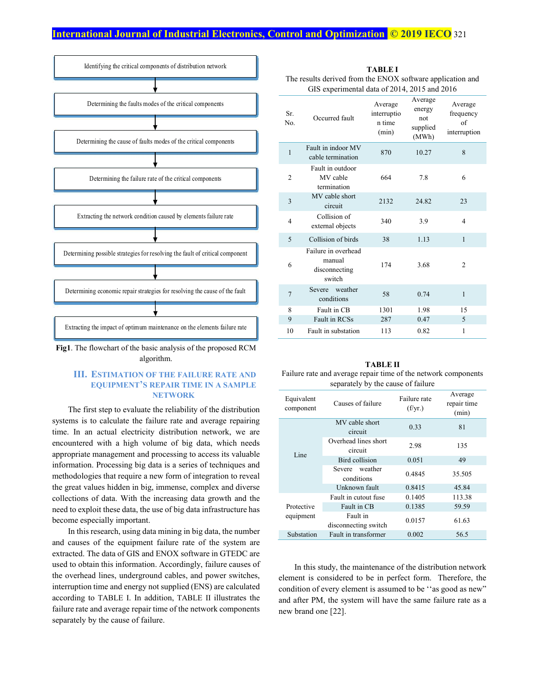

**Fig1**. The flowchart of the basic analysis of the proposed RCM algorithm.

# **III. ESTIMATION OF THE FAILURE RATE AND EQUIPMENT'S REPAIR TIME IN A SAMPLE NETWORK**

The first step to evaluate the reliability of the distribution systems is to calculate the failure rate and average repairing time. In an actual electricity distribution network, we are encountered with a high volume of big data, which needs appropriate management and processing to access its valuable information. Processing big data is a series of techniques and methodologies that require a new form of integration to reveal the great values hidden in big, immense, complex and diverse collections of data. With the increasing data growth and the need to exploit these data, the use of big data infrastructure has become especially important.

In this research, using data mining in big data, the number and causes of the equipment failure rate of the system are extracted. The data of GIS and ENOX software in GTEDC are used to obtain this information. Accordingly, failure causes of the overhead lines, underground cables, and power switches, interruption time and energy not supplied (ENS) are calculated according to TABLE I. In addition, TABLE II illustrates the failure rate and average repair time of the network components separately by the cause of failure.

| <b>TABLE I</b>                                             |  |  |
|------------------------------------------------------------|--|--|
| The results derived from the ENOX software application and |  |  |
| GIS experimental data of 2014, 2015 and 2016               |  |  |

| Sr.<br>No.     | Occurred fault                                           | Average<br>interruptio<br>n time<br>(min) | Average<br>energy<br>not<br>supplied<br>(MWh) | Average<br>frequency<br>of<br>interruption |
|----------------|----------------------------------------------------------|-------------------------------------------|-----------------------------------------------|--------------------------------------------|
| $\mathbf{1}$   | Fault in indoor MV<br>cable termination                  | 870                                       | 10.27                                         | 8                                          |
| $\overline{c}$ | Fault in outdoor<br>MV cable<br>termination              | 664                                       | 7.8                                           | 6                                          |
| 3              | MV cable short<br>circuit                                | 2132                                      | 24.82                                         | 23                                         |
| 4              | Collision of<br>external objects                         | 340                                       | 3.9                                           | 4                                          |
| 5              | Collision of birds                                       | 38                                        | 1.13                                          | $\mathbf{1}$                               |
| 6              | Failure in overhead<br>manual<br>disconnecting<br>switch | 174                                       | 3.68                                          | 2                                          |
| $\overline{7}$ | Severe weather<br>conditions                             | 58                                        | 0.74                                          | $\mathbf{1}$                               |
| 8              | Fault in CB                                              | 1301                                      | 1.98                                          | 15                                         |
| 9              | <b>Fault in RCSs</b>                                     | 287                                       | 0.47                                          | 5                                          |
| 10             | Fault in substation                                      | 113                                       | 0.82                                          | 1                                          |

**TABLE II**  Failure rate and average repair time of the network components separately by the cause of failure

| Equivalent<br>component | Causes of failure                | Failure rate<br>(f/yr.) | Average<br>repair time<br>(min) |
|-------------------------|----------------------------------|-------------------------|---------------------------------|
|                         | MV cable short<br>circuit        | 0.33                    | 81                              |
| Line                    | Overhead lines short<br>circuit  | 2.98                    | 135                             |
|                         | Bird collision                   | 0.051                   | 49                              |
|                         | weather<br>Severe<br>conditions  | 0.4845                  | 35.505                          |
|                         | Unknown fault                    | 0.8415                  | 45.84                           |
|                         | Fault in cutout fuse             | 0.1405                  | 113.38                          |
| Protective              | Fault in CB                      | 0.1385                  | 59.59                           |
| equipment               | Fault in<br>disconnecting switch | 0.0157                  | 61.63                           |
| Substation              | Fault in transformer             | 0.002                   | 56.5                            |

In this study, the maintenance of the distribution network element is considered to be in perfect form. Therefore, the condition of every element is assumed to be ''as good as new" and after PM, the system will have the same failure rate as a new brand one [22].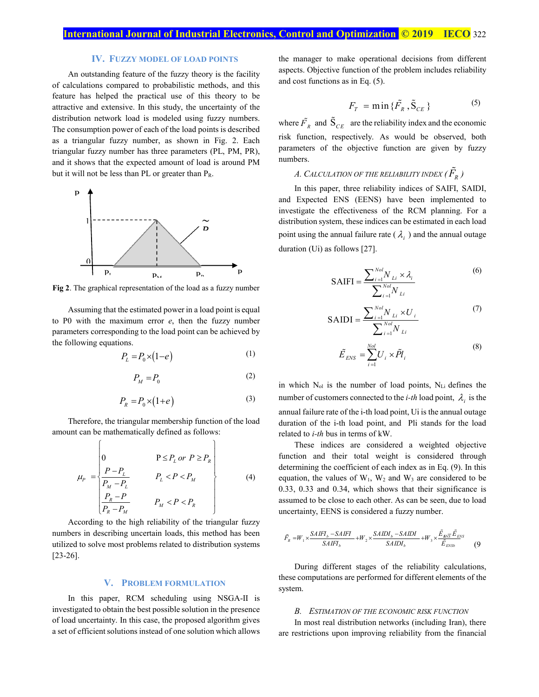## **IV. FUZZY MODEL OF LOAD POINTS**

An outstanding feature of the fuzzy theory is the facility of calculations compared to probabilistic methods, and this feature has helped the practical use of this theory to be attractive and extensive. In this study, the uncertainty of the distribution network load is modeled using fuzzy numbers. The consumption power of each of the load points is described as a triangular fuzzy number, as shown in Fig. 2. Each triangular fuzzy number has three parameters (PL, PM, PR), and it shows that the expected amount of load is around PM but it will not be less than PL or greater than  $P_R$ .



**Fig 2**. The graphical representation of the load as a fuzzy number

Assuming that the estimated power in a load point is equal to P0 with the maximum error *e*, then the fuzzy number parameters corresponding to the load point can be achieved by the following equations.

$$
P_L = P_0 \times (1 - e) \tag{1}
$$

$$
P_M = P_0 \tag{2}
$$

$$
P_R = P_0 \times (1 + e) \tag{3}
$$

Therefore, the triangular membership function of the load amount can be mathematically defined as follows:

$$
\mu_P = \begin{vmatrix}\n0 & P \le P_L \text{ or } P \ge P_R \\
\frac{P - P_L}{P_M - P_L} & P_L < P < P_M \\
\frac{P_R - P}{P_R - P_M} & P_M < P < P_R\n\end{vmatrix} \tag{4}
$$

According to the high reliability of the triangular fuzzy numbers in describing uncertain loads, this method has been utilized to solve most problems related to distribution systems [23-26].

#### **V. PROBLEM FORMULATION**

In this paper, RCM scheduling using NSGA-II is investigated to obtain the best possible solution in the presence of load uncertainty. In this case, the proposed algorithm gives a set of efficient solutions instead of one solution which allows the manager to make operational decisions from different aspects. Objective function of the problem includes reliability and cost functions as in Eq. (5).

$$
F_T = \min{\{\tilde{F}_R, \tilde{S}_{CE}\}}
$$
 (5)

where  $\tilde{F}_R$  and  $\tilde{S}_{CE}$  are the reliability index and the economic risk function, respectively. As would be observed, both parameters of the objective function are given by fuzzy numbers.

# A. CALCULATION OF THE RELIABILITY INDEX (  $\tilde{F_{\!R}}$  )

In this paper, three reliability indices of SAIFI, SAIDI, and Expected ENS (EENS) have been implemented to investigate the effectiveness of the RCM planning. For a distribution system, these indices can be estimated in each load point using the annual failure rate ( $\lambda_i$ ) and the annual outage duration (Ui) as follows [27].

$$
SAIFI = \frac{\sum_{i=1}^{Nol} N_{Li} \times \lambda_i}{\sum_{i=1}^{Nol} N_{Li}}
$$
 (6)

$$
SAIDI = \frac{\sum_{i=1}^{Nol} N_{Li} \times U_i}{\sum_{i=1}^{Nol} N_{Li}}
$$
 (7)

$$
\tilde{E}_{ENS} = \sum_{i=1}^{Nol} U_i \times \tilde{Pl}_i
$$
\n(8)

in which  $N_{ol}$  is the number of load points,  $N_{Li}$  defines the number of customers connected to the *i-th* load point,  $\lambda_i$  is the annual failure rate of the i-th load point, Ui is the annual outage duration of the i-th load point, and Pli stands for the load related to *i-th* bus in terms of kW.

These indices are considered a weighted objective function and their total weight is considered through determining the coefficient of each index as in Eq. (9). In this equation, the values of  $W_1$ ,  $W_2$  and  $W_3$  are considered to be 0.33, 0.33 and 0.34, which shows that their significance is assumed to be close to each other. As can be seen, due to load uncertainty, EENS is considered a fuzzy number.

$$
\tilde{F}_R = W_1 \times \frac{SAIFI_b - SAIFI}{SAIFI_b} + W_2 \times \frac{SAIDI_b - SAIDI}{SAIDI_b} + W_3 \times \frac{\tilde{E}_{BN\overline{S}} \tilde{E}_{ENS}}{\tilde{E}_{ENS}} \tag{9}
$$

During different stages of the reliability calculations, these computations are performed for different elements of the system.

#### *B. ESTIMATION OF THE ECONOMIC RISK FUNCTION*

In most real distribution networks (including Iran), there are restrictions upon improving reliability from the financial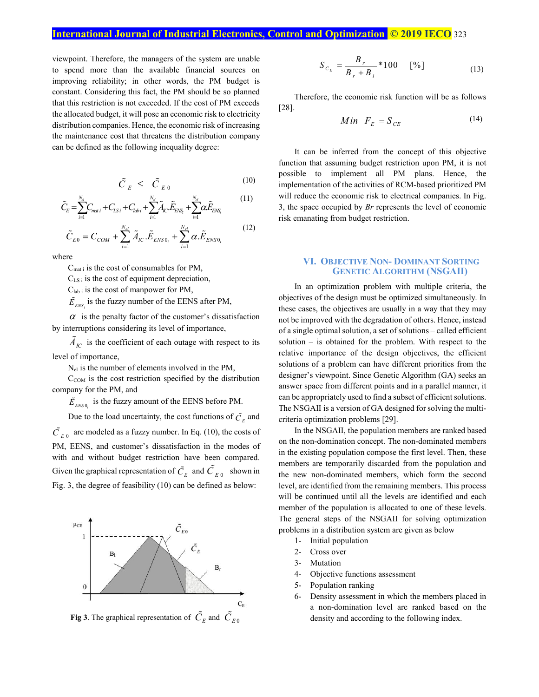viewpoint. Therefore, the managers of the system are unable to spend more than the available financial sources on improving reliability; in other words, the PM budget is constant. Considering this fact, the PM should be so planned that this restriction is not exceeded. If the cost of PM exceeds the allocated budget, it will pose an economic risk to electricity distribution companies. Hence, the economic risk of increasing the maintenance cost that threatens the distribution company can be defined as the following inequality degree:

$$
\tilde{C}_{E} \leq \tilde{C}_{E0} \tag{10}
$$

$$
\tilde{C}_{E} = \sum_{i=1}^{N_{d}} C_{mati} + C_{LSi} + C_{labi} + \sum_{i=1}^{N_{d}} \tilde{A}_{IC} \tilde{E}_{ENS_{i}} + \sum_{i=1}^{N_{d}} \alpha \tilde{E}_{ENS_{i}}
$$
(11)

$$
\tilde{C}_{E0} = C_{COM} + \sum_{i=1}^{N_{el}} \tilde{A}_{IC} \cdot \tilde{E}_{ENSO_i} + \sum_{i=1}^{N_{el}} \alpha \cdot \tilde{E}_{ENSO_i}
$$
(12)

where

C<sub>mat i</sub> is the cost of consumables for PM,

 $C_{LS i}$  is the cost of equipment depreciation,

 $C_{lab i}$  is the cost of manpower for PM,

 $\tilde{E}_{FNS}$  is the fuzzy number of the EENS after PM,

 $\alpha$  is the penalty factor of the customer's dissatisfaction by interruptions considering its level of importance,

 $\tilde{A}_{IC}$  is the coefficient of each outage with respect to its level of importance,

Nel is the number of elements involved in the PM,

 $C_{COM}$  is the cost restriction specified by the distribution company for the PM, and

 $\tilde{E}_{ENSO}$  is the fuzzy amount of the EENS before PM.

Due to the load uncertainty, the cost functions of  $\tilde{C}_E$  and  $\tilde{C}_{E,0}$  are modeled as a fuzzy number. In Eq. (10), the costs of PM, EENS, and customer's dissatisfaction in the modes of with and without budget restriction have been compared. Given the graphical representation of  $\tilde{C}_E$  and  $\tilde{C}_{E0}$  shown in Fig. 3, the degree of feasibility (10) can be defined as below:



**Fig 3**. The graphical representation of  $\tilde{C}_E$  and  $\tilde{C}_{E0}$ 

$$
S_{C_E} = \frac{B_r}{B_r + B_l} * 100 \quad [%]
$$
 (13)

Therefore, the economic risk function will be as follows [28].

$$
Min \tF_E = S_{CE} \t(14)
$$

It can be inferred from the concept of this objective function that assuming budget restriction upon PM, it is not possible to implement all PM plans. Hence, the implementation of the activities of RCM-based prioritized PM will reduce the economic risk to electrical companies. In Fig. 3, the space occupied by *Br* represents the level of economic risk emanating from budget restriction.

# **VI. OBJECTIVE NON- DOMINANT SORTING GENETIC ALGORITHM (NSGAII)**

In an optimization problem with multiple criteria, the objectives of the design must be optimized simultaneously. In these cases, the objectives are usually in a way that they may not be improved with the degradation of others. Hence, instead of a single optimal solution, a set of solutions – called efficient solution – is obtained for the problem. With respect to the relative importance of the design objectives, the efficient solutions of a problem can have different priorities from the designer's viewpoint. Since Genetic Algorithm (GA) seeks an answer space from different points and in a parallel manner, it can be appropriately used to find a subset of efficient solutions. The NSGAII is a version of GA designed for solving the multicriteria optimization problems [29].

In the NSGAII, the population members are ranked based on the non-domination concept. The non-dominated members in the existing population compose the first level. Then, these members are temporarily discarded from the population and the new non-dominated members, which form the second level, are identified from the remaining members. This process will be continued until all the levels are identified and each member of the population is allocated to one of these levels. The general steps of the NSGAII for solving optimization problems in a distribution system are given as below

- 1- Initial population
- 2- Cross over
- 3- Mutation
- 4- Objective functions assessment
- 5- Population ranking
- 6- Density assessment in which the members placed in a non-domination level are ranked based on the density and according to the following index.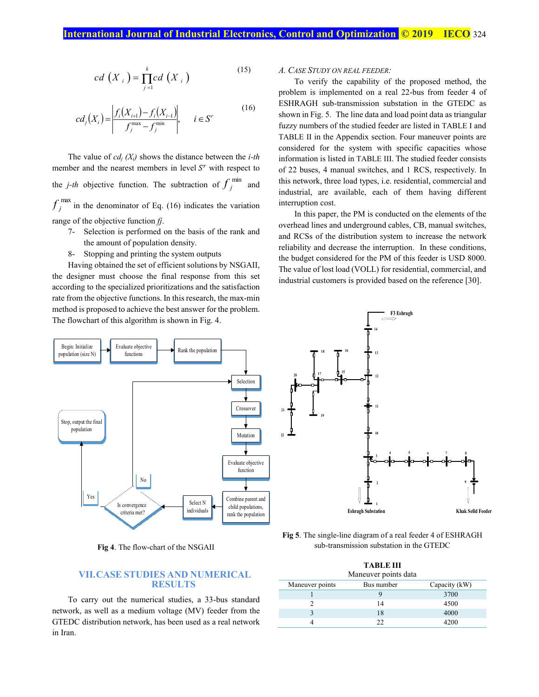$$
cd\left(X_{i}\right)=\prod_{j=1}^{k}cd\left(X_{i}\right)
$$
\n<sup>(15)</sup>

$$
cd_j(X_i) = \left| \frac{f_i(X_{i+1}) - f_i(X_{i-1})}{f_j^{\max} - f_j^{\min}} \right|, \quad i \in S'
$$
 (16)

The value of *cdj (Xi)* shows the distance between the *i-th* member and the nearest members in level  $S<sup>r</sup>$  with respect to the *j*-th objective function. The subtraction of  $f_j^{\text{min}}$  and  $f_j^{\text{max}}$  in the denominator of Eq. (16) indicates the variation range of the objective function *fj*.

- 7- Selection is performed on the basis of the rank and the amount of population density.
- 8- Stopping and printing the system outputs

Having obtained the set of efficient solutions by NSGAII, the designer must choose the final response from this set according to the specialized prioritizations and the satisfaction rate from the objective functions. In this research, the max-min method is proposed to achieve the best answer for the problem. The flowchart of this algorithm is shown in Fig. 4.



**Fig 4**. The flow-chart of the NSGAII

# **VII.CASE STUDIES AND NUMERICAL RESULTS**

To carry out the numerical studies, a 33-bus standard network, as well as a medium voltage (MV) feeder from the GTEDC distribution network, has been used as a real network in Iran.

## *A. CASE STUDY ON REAL FEEDER:*

To verify the capability of the proposed method, the problem is implemented on a real 22-bus from feeder 4 of ESHRAGH sub-transmission substation in the GTEDC as shown in Fig. 5. The line data and load point data as triangular fuzzy numbers of the studied feeder are listed in TABLE I and TABLE II in the Appendix section. Four maneuver points are considered for the system with specific capacities whose information is listed in TABLE III. The studied feeder consists of 22 buses, 4 manual switches, and 1 RCS, respectively. In this network, three load types, i.e. residential, commercial and industrial, are available, each of them having different interruption cost.

In this paper, the PM is conducted on the elements of the overhead lines and underground cables, CB, manual switches, and RCSs of the distribution system to increase the network reliability and decrease the interruption. In these conditions, the budget considered for the PM of this feeder is USD 8000. The value of lost load (VOLL) for residential, commercial, and industrial customers is provided based on the reference [30].



**Fig 5**. The single-line diagram of a real feeder 4 of ESHRAGH sub-transmission substation in the GTEDC

|                        | <b>TABLE III</b> |  |
|------------------------|------------------|--|
| $M$ anawan nainta data |                  |  |

| <b>Mancuvel</b> politic data |            |               |  |
|------------------------------|------------|---------------|--|
| Maneuver points              | Bus number | Capacity (kW) |  |
|                              |            | 3700          |  |
|                              | 14         | 4500          |  |
|                              | 18         | 4000          |  |
|                              | າາ         | 4200          |  |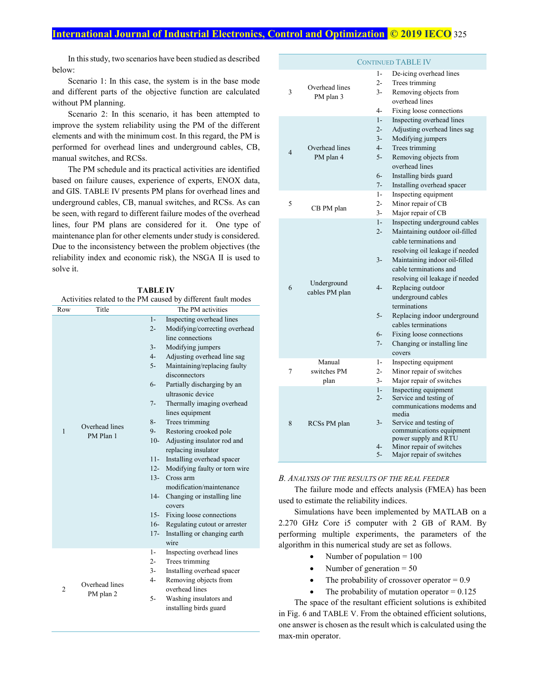In this study, two scenarios have been studied as described below:

Scenario 1: In this case, the system is in the base mode and different parts of the objective function are calculated without PM planning.

Scenario 2: In this scenario, it has been attempted to improve the system reliability using the PM of the different elements and with the minimum cost. In this regard, the PM is performed for overhead lines and underground cables, CB, manual switches, and RCSs.

The PM schedule and its practical activities are identified based on failure causes, experience of experts, ENOX data, and GIS. TABLE IV presents PM plans for overhead lines and underground cables, CB, manual switches, and RCSs. As can be seen, with regard to different failure modes of the overhead lines, four PM plans are considered for it. One type of maintenance plan for other elements under study is considered. Due to the inconsistency between the problem objectives (the reliability index and economic risk), the NSGA II is used to solve it.

| TABLE IV |
|----------|
|----------|

Activities related to the PM caused by different fault modes

| Row            | Title                       | The PM activities |                               |  |
|----------------|-----------------------------|-------------------|-------------------------------|--|
|                |                             | $1-$              | Inspecting overhead lines     |  |
|                |                             | $2 -$             | Modifying/correcting overhead |  |
|                |                             |                   | line connections              |  |
|                |                             | $3-$              | Modifying jumpers             |  |
|                |                             | $4-$              | Adjusting overhead line sag   |  |
|                |                             | $5-$              | Maintaining/replacing faulty  |  |
|                |                             |                   | disconnectors                 |  |
|                |                             | $6-$              | Partially discharging by an   |  |
|                |                             |                   | ultrasonic device             |  |
|                |                             | $7 -$             | Thermally imaging overhead    |  |
|                |                             |                   | lines equipment               |  |
|                | Overhead lines              | $8-$              | Trees trimming                |  |
| $\mathbf{1}$   | PM Plan 1                   | $9-$              | Restoring crooked pole        |  |
|                |                             | $10-$             | Adjusting insulator rod and   |  |
|                |                             |                   | replacing insulator           |  |
|                |                             | $11 -$            | Installing overhead spacer    |  |
|                |                             | $12 -$            | Modifying faulty or torn wire |  |
|                |                             | $13-$             | Cross arm                     |  |
|                |                             |                   | modification/maintenance      |  |
|                |                             | $14-$             | Changing or installing line   |  |
|                |                             |                   | covers                        |  |
|                |                             | $15-$             | Fixing loose connections      |  |
|                |                             | $16-$             | Regulating cutout or arrester |  |
|                |                             | $17-$             | Installing or changing earth  |  |
|                |                             |                   | wire                          |  |
|                |                             | $1-$              | Inspecting overhead lines     |  |
|                |                             | $2-$              | Trees trimming                |  |
|                |                             | $3-$              | Installing overhead spacer    |  |
|                | Overhead lines<br>PM plan 2 | 4-                | Removing objects from         |  |
| $\overline{2}$ |                             |                   | overhead lines                |  |
|                |                             | $5-$              | Washing insulators and        |  |
|                |                             |                   | installing birds guard        |  |

|                |                               | <b>CONTINUED TABLE IV</b>                                                                                                                                                                                                                                                                                                                                                                                                                                                 |
|----------------|-------------------------------|---------------------------------------------------------------------------------------------------------------------------------------------------------------------------------------------------------------------------------------------------------------------------------------------------------------------------------------------------------------------------------------------------------------------------------------------------------------------------|
| 3              | Overhead lines<br>PM plan 3   | De-icing overhead lines<br>1-<br>$2 -$<br>Trees trimming<br>$3 -$<br>Removing objects from<br>overhead lines<br>$4-$<br>Fixing loose connections                                                                                                                                                                                                                                                                                                                          |
| $\overline{4}$ | Overhead lines<br>PM plan 4   | Inspecting overhead lines<br>$1-$<br>Adjusting overhead lines sag<br>$2 -$<br>Modifying jumpers<br>$3-$<br>Trees trimming<br>$4-$<br>Removing objects from<br>$5-$<br>overhead lines<br>Installing birds guard<br>$6-$<br>$7 -$<br>Installing overhead spacer                                                                                                                                                                                                             |
| 5              | CB PM plan                    | Inspecting equipment<br>$1-$<br>Minor repair of CB<br>$2-$<br>Major repair of CB<br>$3 -$                                                                                                                                                                                                                                                                                                                                                                                 |
| 6              | Underground<br>cables PM plan | Inspecting underground cables<br>$1-$<br>Maintaining outdoor oil-filled<br>$2 -$<br>cable terminations and<br>resolving oil leakage if needed<br>$3-$<br>Maintaining indoor oil-filled<br>cable terminations and<br>resolving oil leakage if needed<br>$4-$<br>Replacing outdoor<br>underground cables<br>terminations<br>Replacing indoor underground<br>5-<br>cables terminations<br>$6-$<br>Fixing loose connections<br>$7 -$<br>Changing or installing line<br>covers |
| 7              | Manual<br>switches PM<br>plan | Inspecting equipment<br>$1-$<br>Minor repair of switches<br>$2-$<br>Major repair of switches<br>$3-$                                                                                                                                                                                                                                                                                                                                                                      |
| 8              | RCSs PM plan                  | Inspecting equipment<br>$1-$<br>Service and testing of<br>$2 -$<br>communications modems and<br>media<br>$3-$<br>Service and testing of<br>communications equipment<br>power supply and RTU<br>Minor repair of switches<br>$4-$<br>$5-$<br>Major repair of switches                                                                                                                                                                                                       |

#### *B. ANALYSIS OF THE RESULTS OF THE REAL FEEDER*

The failure mode and effects analysis (FMEA) has been used to estimate the reliability indices.

Simulations have been implemented by MATLAB on a 2.270 GHz Core i5 computer with 2 GB of RAM. By performing multiple experiments, the parameters of the algorithm in this numerical study are set as follows.

- Number of population  $= 100$
- Number of generation  $= 50$
- The probability of crossover operator  $= 0.9$
- The probability of mutation operator  $= 0.125$

The space of the resultant efficient solutions is exhibited in Fig. 6 and TABLE V. From the obtained efficient solutions, one answer is chosen as the result which is calculated using the max-min operator.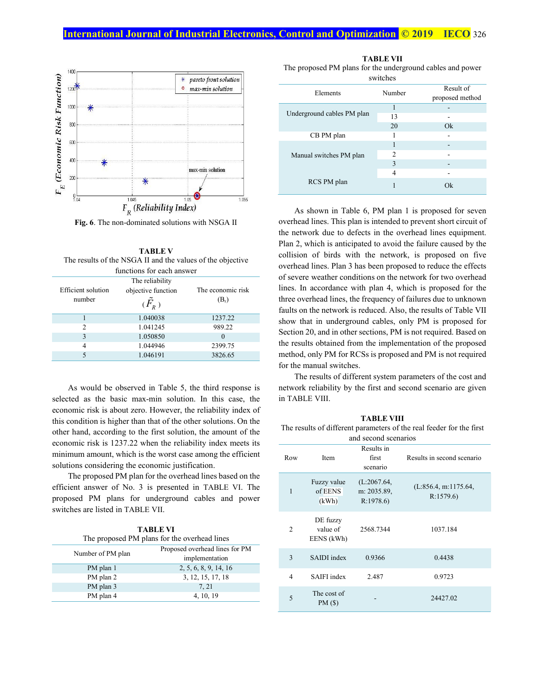

**Fig. 6**. The non-dominated solutions with NSGA II

**TABLE V**  The results of the NSGA II and the values of the objective functions for each answer

| Efficient solution<br>number | The reliability<br>objective function<br>$(F_R)$ | The economic risk<br>$(B_r)$ |  |
|------------------------------|--------------------------------------------------|------------------------------|--|
|                              | 1.040038                                         | 1237.22                      |  |
| $\mathfrak{D}$               | 1.041245                                         | 989.22                       |  |
| 3                            | 1.050850                                         | $\Omega$                     |  |
| 4                            | 1.044946                                         | 2399.75                      |  |
|                              | 1.046191                                         | 3826.65                      |  |

As would be observed in Table 5, the third response is selected as the basic max-min solution. In this case, the economic risk is about zero. However, the reliability index of this condition is higher than that of the other solutions. On the other hand, according to the first solution, the amount of the economic risk is 1237.22 when the reliability index meets its minimum amount, which is the worst case among the efficient solutions considering the economic justification.

The proposed PM plan for the overhead lines based on the efficient answer of No. 3 is presented in TABLE VI. The proposed PM plans for underground cables and power switches are listed in TABLE VII.

| <b>TABLE VI</b>                              |                                |  |
|----------------------------------------------|--------------------------------|--|
| The proposed PM plans for the overhead lines |                                |  |
| Number of PM plan                            | Proposed overhead lines for PM |  |
|                                              | implementation                 |  |

|           | <i><u>IIIIpiununation</u></i> |
|-----------|-------------------------------|
| PM plan 1 | 2, 5, 6, 8, 9, 14, 16         |
| PM plan 2 | 3, 12, 15, 17, 18             |
| PM plan 3 | 7.21                          |
| PM plan 4 | 4, 10, 19                     |

**TABLE VII**  The proposed PM plans for the underground cables and power switches

| <b><i>OWIGHTS</i></b>      |        |                              |  |
|----------------------------|--------|------------------------------|--|
| Elements                   | Number | Result of<br>proposed method |  |
|                            |        | -                            |  |
| Underground cables PM plan | 13     |                              |  |
|                            | 20     | Ok                           |  |
| CB PM plan                 |        |                              |  |
|                            |        |                              |  |
| Manual switches PM plan    | 2      |                              |  |
|                            | 3      |                              |  |
|                            | 4      |                              |  |
| RCS PM plan                |        | Ok                           |  |

As shown in Table 6, PM plan 1 is proposed for seven overhead lines. This plan is intended to prevent short circuit of the network due to defects in the overhead lines equipment. Plan 2, which is anticipated to avoid the failure caused by the collision of birds with the network, is proposed on five overhead lines. Plan 3 has been proposed to reduce the effects of severe weather conditions on the network for two overhead lines. In accordance with plan 4, which is proposed for the three overhead lines, the frequency of failures due to unknown faults on the network is reduced. Also, the results of Table VII show that in underground cables, only PM is proposed for Section 20, and in other sections, PM is not required. Based on the results obtained from the implementation of the proposed method, only PM for RCSs is proposed and PM is not required for the manual switches.

The results of different system parameters of the cost and network reliability by the first and second scenario are given in TABLE VIII.

| <b>TABLE VIII</b>                                                    |  |
|----------------------------------------------------------------------|--|
| The results of different parameters of the real feeder for the first |  |

|                | and second scenarios               |                                        |                                  |  |  |  |  |
|----------------|------------------------------------|----------------------------------------|----------------------------------|--|--|--|--|
| Row            | Item                               | Results in<br>first<br>scenario        | Results in second scenario       |  |  |  |  |
| 1              | Fuzzy value<br>of EENS<br>(kWh)    | (L:2067.64,<br>m: 2035.89,<br>R:1978.6 | (L:856.4, m:1175.64,<br>R:1579.6 |  |  |  |  |
| $\overline{c}$ | DE fuzzy<br>value of<br>EENS (kWh) | 2568.7344                              | 1037.184                         |  |  |  |  |
| 3              | SAIDI index                        | 0.9366                                 | 0.4438                           |  |  |  |  |
| 4              | <b>SAIFI</b> index                 | 2.487                                  | 0.9723                           |  |  |  |  |
| 5              | The cost of<br>PM(S)               |                                        | 24427.02                         |  |  |  |  |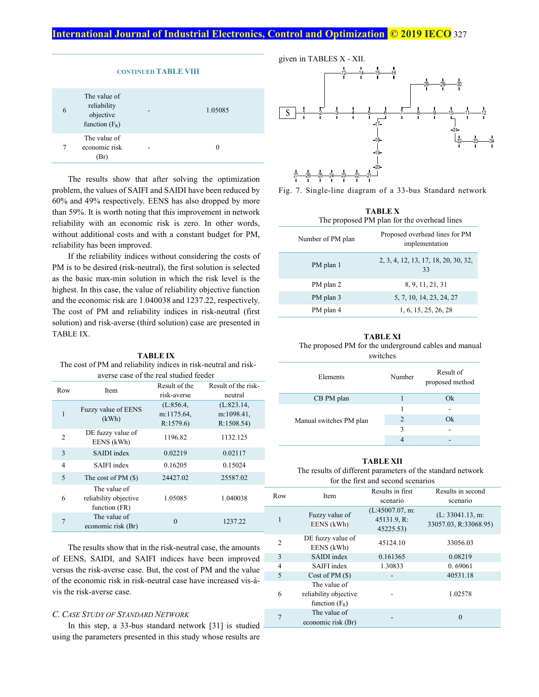|   | <b>CONTINUED TABLE VIII</b>                                  |  |         |  |  |  |  |
|---|--------------------------------------------------------------|--|---------|--|--|--|--|
| 6 | The value of<br>reliability<br>objective<br>function $(F_R)$ |  | 1.05085 |  |  |  |  |
|   | The value of<br>economic risk<br>(Br)                        |  |         |  |  |  |  |

The results show that after solving the optimization problem, the values of SAIFI and SAIDI have been reduced by 60% and 49% respectively. EENS has also dropped by more than 59%. It is worth noting that this improvement in network reliability with an economic risk is zero. In other words, without additional costs and with a constant budget for PM, reliability has been improved.

If the reliability indices without considering the costs of PM is to be desired (risk-neutral), the first solution is selected as the basic max-min solution in which the risk level is the highest. In this case, the value of reliability objective function and the economic risk are 1.040038 and 1237.22, respectively. The cost of PM and reliability indices in risk-neutral (first solution) and risk-averse (third solution) case are presented in TABLE IX.

**TABLE IX**  The cost of PM and reliability indices in risk-neutral and riskaverse case of the real studied feeder

| Row |                                       | Result of the | Result of the risk- |
|-----|---------------------------------------|---------------|---------------------|
|     | Item                                  | risk-averse   | neutral             |
|     | Fuzzy value of EENS                   | (L:856.4)     | (L:823.14,          |
| 1   | (kWh)                                 | m:1175.64,    | m:1098.41,          |
|     |                                       | R:1579.6      | R:1508.54           |
| 2   | DE fuzzy value of<br>EENS (kWh)       | 1196.82       | 1132.125            |
| 3   | SAIDI index                           | 0.02219       | 0.02117             |
| 4   | SAIFI index                           | 0.16205       | 0.15024             |
| 5   | The cost of $PM(S)$                   | 24427.02      | 25587.02            |
| 6   | The value of<br>reliability objective | 1.05085       | 1.040038            |
|     | function (FR)                         |               |                     |
|     | The value of<br>economic risk (Br)    | $\Omega$      | 1237.22             |
|     |                                       |               |                     |

The results show that in the risk-neutral case, the amounts of EENS, SAIDI, and SAIFI indices have been improved versus the risk-averse case. But, the cost of PM and the value of the economic risk in risk-neutral case have increased vis-àvis the risk-averse case.

# *C. CASE STUDY OF STANDARD NETWORK*

In this step, a 33-bus standard network [31] is studied  $\Box$ using the parameters presented in this study whose results are



Fig. 7. Single-line diagram of a 33-bus Standard network

| TABLE X<br>The proposed PM plan for the overhead lines |                                                  |  |  |  |  |
|--------------------------------------------------------|--------------------------------------------------|--|--|--|--|
| Number of PM plan                                      | Proposed overhead lines for PM<br>implementation |  |  |  |  |
| PM plan 1                                              | 2, 3, 4, 12, 13, 17, 18, 20, 30, 32,<br>33       |  |  |  |  |
| PM plan 2                                              | 8, 9, 11, 21, 31                                 |  |  |  |  |
| PM plan 3                                              | 5, 7, 10, 14, 23, 24, 27                         |  |  |  |  |
| PM plan 4                                              | 1, 6, 15, 25, 26, 28                             |  |  |  |  |

#### **TABLE XI**

The proposed PM for the underground cables and manual switches

| Elements                | Number         | Result of<br>proposed method |
|-------------------------|----------------|------------------------------|
| CB PM plan              |                | Ok                           |
|                         | 1              |                              |
| Manual switches PM plan | $\mathfrak{D}$ | Ok                           |
|                         | 3              |                              |
|                         |                |                              |

#### **TABLE XII**

The results of different parameters of the standard network for the first and second scenarios

| Row            | <b>Item</b>                     | Results in first | Results in second     |  |  |  |  |
|----------------|---------------------------------|------------------|-----------------------|--|--|--|--|
|                |                                 | scenario         | scenario              |  |  |  |  |
|                | Fuzzy value of                  | (L:45007.07, m:  | (L: 33041.13, m:      |  |  |  |  |
| 1              | EENS (kWh)                      | 45131.9, R:      | 33057.03, R:33068.95) |  |  |  |  |
|                |                                 | 45225.53)        |                       |  |  |  |  |
| $\overline{c}$ | DE fuzzy value of<br>EENS (kWh) | 45124.10         | 33056.03              |  |  |  |  |
| 3              | SAIDI index                     | 0.161365         | 0.08219               |  |  |  |  |
| 4              | SAIFI index                     | 1.30833          | 0.69061               |  |  |  |  |
| 5              | Cost of $PM(S)$                 |                  | 40531.18              |  |  |  |  |
|                | The value of                    |                  |                       |  |  |  |  |
| 6              | reliability objective           |                  | 1.02578               |  |  |  |  |
|                | function $(F_R)$                |                  |                       |  |  |  |  |
|                | The value of                    |                  | $\theta$              |  |  |  |  |
|                | economic risk (Br)              |                  |                       |  |  |  |  |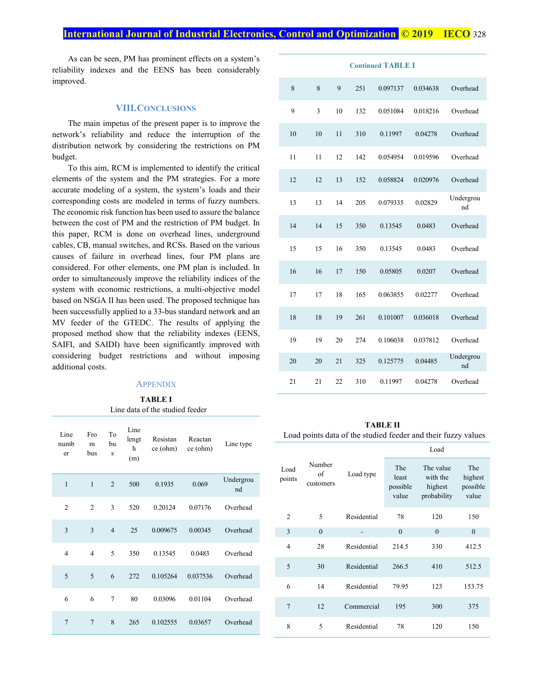As can be seen, PM has prominent effects on a system's reliability indexes and the EENS has been considerably improved.

#### **VIII.CONCLUSIONS**

The main impetus of the present paper is to improve the network's reliability and reduce the interruption of the distribution network by considering the restrictions on PM budget.

To this aim, RCM is implemented to identify the critical elements of the system and the PM strategies. For a more accurate modeling of a system, the system's loads and their corresponding costs are modeled in terms of fuzzy numbers. The economic risk function has been used to assure the balance between the cost of PM and the restriction of PM budget. In this paper, RCM is done on overhead lines, underground cables, CB, manual switches, and RCSs. Based on the various causes of failure in overhead lines, four PM plans are considered. For other elements, one PM plan is included. In order to simultaneously improve the reliability indices of the system with economic restrictions, a multi-objective model based on NSGA II has been used. The proposed technique has been successfully applied to a 33-bus standard network and an MV feeder of the GTEDC. The results of applying the proposed method show that the reliability indexes (EENS, SAIFI, and SAIDI) have been significantly improved with considering budget restrictions and without imposing additional costs.

# **APPENDIX**

#### **TABLE I** Line data of the studied feeder

| Line<br>numb<br>er | Fro<br>m<br>bus | To<br>bu<br>S  | Line<br>lengt<br>h<br>(m) | Resistan<br>ce (ohm) | Reactan<br>ce (ohm) | Line type       |
|--------------------|-----------------|----------------|---------------------------|----------------------|---------------------|-----------------|
| $\mathbf{1}$       | $\mathbf{1}$    | $\overline{2}$ | 500                       | 0.1935               | 0.069               | Undergrou<br>nd |
| $\overline{2}$     | $\overline{2}$  | 3              | 520                       | 0.20124              | 0.07176             | Overhead        |
| 3                  | 3               | $\overline{4}$ | 25                        | 0.009675             | 0.00345             | Overhead        |
| $\overline{4}$     | $\overline{4}$  | 5              | 350                       | 0.13545              | 0.0483              | Overhead        |
| 5                  | 5               | 6              | 272                       | 0.105264             | 0.037536            | Overhead        |
| 6                  | 6               | $\overline{7}$ | 80                        | 0.03096              | 0.01104             | Overhead        |
| $\overline{7}$     | $\overline{7}$  | 8              | 265                       | 0.102555             | 0.03657             | Overhead        |

| <b>Continued TABLE I</b> |    |    |     |          |          |                 |
|--------------------------|----|----|-----|----------|----------|-----------------|
| 8                        | 8  | 9  | 251 | 0.097137 | 0.034638 | Overhead        |
| 9                        | 3  | 10 | 132 | 0.051084 | 0.018216 | Overhead        |
| 10                       | 10 | 11 | 310 | 0.11997  | 0.04278  | Overhead        |
| 11                       | 11 | 12 | 142 | 0.054954 | 0.019596 | Overhead        |
| 12                       | 12 | 13 | 152 | 0.058824 | 0.020976 | Overhead        |
| 13                       | 13 | 14 | 205 | 0.079335 | 0.02829  | Undergrou<br>nd |
| 14                       | 14 | 15 | 350 | 0.13545  | 0.0483   | Overhead        |
| 15                       | 15 | 16 | 350 | 0.13545  | 0.0483   | Overhead        |
| 16                       | 16 | 17 | 150 | 0.05805  | 0.0207   | Overhead        |
| 17                       | 17 | 18 | 165 | 0.063855 | 0.02277  | Overhead        |
| 18                       | 18 | 19 | 261 | 0.101007 | 0.036018 | Overhead        |
| 19                       | 19 | 20 | 274 | 0.106038 | 0.037812 | Overhead        |
| 20                       | 20 | 21 | 325 | 0.125775 | 0.04485  | Undergrou<br>nd |
| 21                       | 21 | 22 | 310 | 0.11997  | 0.04278  | Overhead        |

#### **TABLE II**

#### Load points data of the studied feeder and their fuzzy values

|                |                           |             | Load                              |                                                 |                                     |  |
|----------------|---------------------------|-------------|-----------------------------------|-------------------------------------------------|-------------------------------------|--|
| Load<br>points | Number<br>of<br>customers | Load type   | The<br>least<br>possible<br>value | The value<br>with the<br>highest<br>probability | The<br>highest<br>possible<br>value |  |
| $\overline{2}$ | 5                         | Residential | 78                                | 120                                             | 150                                 |  |
| 3              | $\theta$                  |             | $\theta$                          | $\theta$                                        | $\mathbf{0}$                        |  |
| $\overline{4}$ | 28                        | Residential | 214.5                             | 330                                             | 412.5                               |  |
| 5              | 30                        | Residential | 266.5                             | 410                                             | 512.5                               |  |
| 6              | 14                        | Residential | 79.95                             | 123                                             | 153.75                              |  |
| $\overline{7}$ | 12                        | Commercial  | 195                               | 300                                             | 375                                 |  |
| 8              | 5                         | Residential | 78                                | 120                                             | 150                                 |  |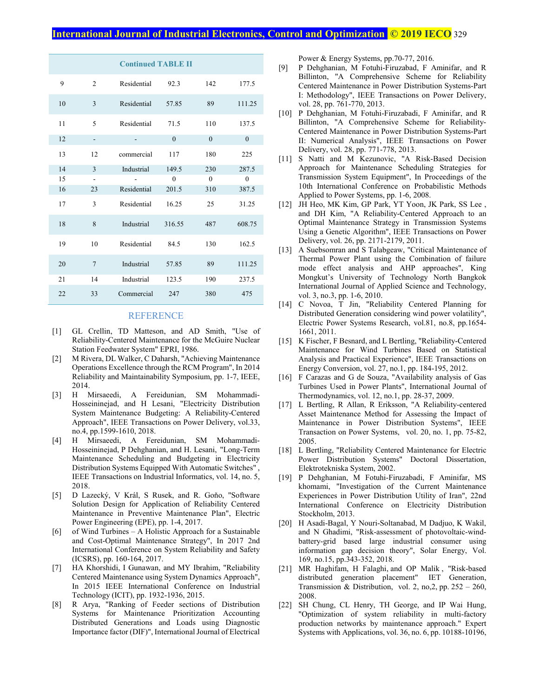| <b>Continued TABLE II</b> |                |             |          |              |              |  |
|---------------------------|----------------|-------------|----------|--------------|--------------|--|
| 9                         | $\overline{2}$ | Residential | 92.3     | 142          | 177.5        |  |
| 10                        | 3              | Residential | 57.85    | 89           | 111.25       |  |
| 11                        | 5              | Residential | 71.5     | 110          | 137.5        |  |
| 12                        |                |             | $\theta$ | $\mathbf{0}$ | $\mathbf{0}$ |  |
| 13                        | 12             | commercial  | 117      | 180          | 225          |  |
| 14                        | 3              | Industrial  | 149.5    | 230          | 287.5        |  |
| 15                        |                |             | $\theta$ | $\theta$     | $\mathbf{0}$ |  |
| 16                        | 23             | Residential | 201.5    | 310          | 387.5        |  |
| 17                        | 3              | Residential | 16.25    | 25           | 31.25        |  |
| 18                        | 8              | Industrial  | 316.55   | 487          | 608.75       |  |
| 19                        | 10             | Residential | 84.5     | 130          | 162.5        |  |
| 20                        | $\overline{7}$ | Industrial  | 57.85    | 89           | 111.25       |  |
| 21                        | 14             | Industrial  | 123.5    | 190          | 237.5        |  |
| 22                        | 33             | Commercial  | 247      | 380          | 475          |  |

#### REFERENCE

- [1] GL Crellin, TD Matteson, and AD Smith, "Use of Reliability-Centered Maintenance for the McGuire Nuclear Station Feedwater System" EPRI, 1986.
- [2] M Rivera, DL Walker, C Daharsh, "Achieving Maintenance Operations Excellence through the RCM Program", In 2014 Reliability and Maintainability Symposium, pp. 1-7, IEEE, 2014.
- [3] H Mirsaeedi, A Fereidunian, SM Mohammadi-Hosseininejad, and H Lesani, "Electricity Distribution System Maintenance Budgeting: A Reliability-Centered Approach", IEEE Transactions on Power Delivery, vol.33, no.4, pp.1599-1610, 2018.
- [4] H Mirsaeedi, A Fereidunian, SM Mohammadi-Hosseininejad, P Dehghanian, and H. Lesani, "Long-Term Maintenance Scheduling and Budgeting in Electricity Distribution Systems Equipped With Automatic Switches" , IEEE Transactions on Industrial Informatics, vol. 14, no. 5, 2018.
- [5] D Lazecký, V Král, S Rusek, and R. Goňo, "Software Solution Design for Application of Reliability Centered Maintenance in Preventive Maintenance Plan", Electric Power Engineering (EPE), pp. 1-4, 2017.
- [6] of Wind Turbines A Holistic Approach for a Sustainable and Cost-Optimal Maintenance Strategy", In 2017 2nd International Conference on System Reliability and Safety (ICSRS), pp. 160-164, 2017.
- [7] HA Khorshidi, I Gunawan, and MY Ibrahim, "Reliability Centered Maintenance using System Dynamics Approach", In 2015 IEEE International Conference on Industrial Technology (ICIT), pp. 1932-1936, 2015.
- [8] R Arya, "Ranking of Feeder sections of Distribution Systems for Maintenance Prioritization Accounting Distributed Generations and Loads using Diagnostic Importance factor (DIF)", International Journal of Electrical

Power & Energy Systems, pp.70-77, 2016.

- [9] P Dehghanian, M Fotuhi-Firuzabad, F Aminifar, and R Billinton, "A Comprehensive Scheme for Reliability Centered Maintenance in Power Distribution Systems-Part I: Methodology", IEEE Transactions on Power Delivery, vol. 28, pp. 761-770, 2013.
- [10] P Dehghanian, M Fotuhi-Firuzabadi, F Aminifar, and R Billinton, "A Comprehensive Scheme for Reliability-Centered Maintenance in Power Distribution Systems-Part II: Numerical Analysis", IEEE Transactions on Power Delivery, vol. 28, pp. 771-778, 2013.
- [11] S Natti and M Kezunovic, "A Risk-Based Decision Approach for Maintenance Scheduling Strategies for Transmission System Equipment", In Proceedings of the 10th International Conference on Probabilistic Methods Applied to Power Systems, pp. 1-6, 2008.
- [12] JH Heo, MK Kim, GP Park, YT Yoon, JK Park, SS Lee, and DH Kim, "A Reliability-Centered Approach to an Optimal Maintenance Strategy in Transmission Systems Using a Genetic Algorithm", IEEE Transactions on Power Delivery, vol. 26, pp. 2171-2179, 2011.
- [13] A Suebsomran and S Talabgeaw, "Critical Maintenance of Thermal Power Plant using the Combination of failure mode effect analysis and AHP approaches", King Mongkut's University of Technology North Bangkok International Journal of Applied Science and Technology, vol. 3, no.3, pp. 1-6, 2010.
- [14] C Novoa, T Jin, "Reliability Centered Planning for Distributed Generation considering wind power volatility", Electric Power Systems Research, vol.81, no.8, pp.1654- 1661, 2011.
- [15] K Fischer, F Besnard, and L Bertling, "Reliability-Centered Maintenance for Wind Turbines Based on Statistical Analysis and Practical Experience", IEEE Transactions on Energy Conversion, vol. 27, no.1, pp. 184-195, 2012.
- [16] F Carazas and G de Souza, "Availability analysis of Gas Turbines Used in Power Plants", International Journal of Thermodynamics, vol. 12, no.1, pp. 28-37, 2009.
- [17] L Bertling, R Allan, R Eriksson, "A Reliability-centered Asset Maintenance Method for Assessing the Impact of Maintenance in Power Distribution Systems", IEEE Transaction on Power Systems, vol. 20, no. 1, pp. 75-82, 2005.
- [18] L Bertling, "Reliability Centered Maintenance for Electric Power Distribution Systems" Doctoral Dissertation, Elektrotekniska System, 2002.
- [19] P Dehghanian, M Fotuhi-Firuzabadi, F Aminifar, MS khomami, "Investigation of the Current Maintenance Experiences in Power Distribution Utility of Iran", 22nd International Conference on Electricity Distribution Stockholm, 2013.
- [20] H Asadi-Bagal, Y Nouri-Soltanabad, M Dadjuo, K Wakil, and N Ghadimi, "Risk-assessment of photovoltaic-windbattery-grid based large industrial consumer using information gap decision theory", Solar Energy, Vol. 169, no.15, pp.343-352, 2018.
- [21] MR Haghifam, H Falaghi, and OP Malik, "Risk-based distributed generation placement" IET Generation, Transmission & Distribution, vol. 2, no, 2, pp.  $252 - 260$ , 2008.
- [22] SH Chung, CL Henry, TH George, and IP Wai Hung, "Optimization of system reliability in multi-factory production networks by maintenance approach." Expert Systems with Applications, vol. 36, no. 6, pp. 10188-10196,